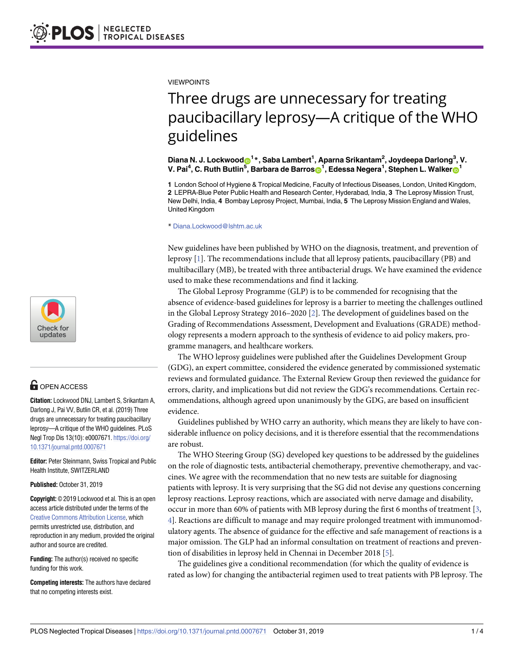#### <span id="page-0-0"></span>VIEWPOINTS

# Three drugs are unnecessary for treating paucibacillary leprosy—A critique of the WHO guidelines

#### $D$ iana N. J. Lockwood $\mathbf{\Theta}^{1\,*}$ , Saba Lambert<sup>1</sup>, Aparna Srikantam<sup>2</sup>, Joydeepa Darlong<sup>3</sup>, V. V. Pai<sup>4</sup>, C. Ruth Butlin<sup>5</sup>, Barbara de Barros**o<sup>1</sup>, Edessa Negera<sup>1</sup>, Stephen L. Walkero**<sup>1</sup>

**1** London School of Hygiene & Tropical Medicine, Faculty of Infectious Diseases, London, United Kingdom, **2** LEPRA-Blue Peter Public Health and Research Center, Hyderabad, India, **3** The Leprosy Mission Trust, New Delhi, India, **4** Bombay Leprosy Project, Mumbai, India, **5** The Leprosy Mission England and Wales, United Kingdom

\* Diana.Lockwood@lshtm.ac.uk

New guidelines have been published by WHO on the diagnosis, treatment, and prevention of leprosy [\[1](#page-3-0)]. The recommendations include that all leprosy patients, paucibacillary (PB) and multibacillary (MB), be treated with three antibacterial drugs. We have examined the evidence used to make these recommendations and find it lacking.

The Global Leprosy Programme (GLP) is to be commended for recognising that the absence of evidence-based guidelines for leprosy is a barrier to meeting the challenges outlined in the Global Leprosy Strategy 2016–2020 [\[2\]](#page-3-0). The development of guidelines based on the Grading of Recommendations Assessment, Development and Evaluations (GRADE) methodology represents a modern approach to the synthesis of evidence to aid policy makers, programme managers, and healthcare workers.

The WHO leprosy guidelines were published after the Guidelines Development Group (GDG), an expert committee, considered the evidence generated by commissioned systematic reviews and formulated guidance. The External Review Group then reviewed the guidance for errors, clarity, and implications but did not review the GDG's recommendations. Certain recommendations, although agreed upon unanimously by the GDG, are based on insufficient evidence.

Guidelines published by WHO carry an authority, which means they are likely to have considerable influence on policy decisions, and it is therefore essential that the recommendations are robust.

The WHO Steering Group (SG) developed key questions to be addressed by the guidelines on the role of diagnostic tests, antibacterial chemotherapy, preventive chemotherapy, and vaccines. We agree with the recommendation that no new tests are suitable for diagnosing patients with leprosy. It is very surprising that the SG did not devise any questions concerning leprosy reactions. Leprosy reactions, which are associated with nerve damage and disability, occur in more than 60% of patients with MB leprosy during the first 6 months of treatment [[3](#page-3-0), [4\]](#page-3-0). Reactions are difficult to manage and may require prolonged treatment with immunomodulatory agents. The absence of guidance for the effective and safe management of reactions is a major omission. The GLP had an informal consultation on treatment of reactions and prevention of disabilities in leprosy held in Chennai in December 2018 [\[5\]](#page-3-0).

The guidelines give a conditional recommendation (for which the quality of evidence is rated as low) for changing the antibacterial regimen used to treat patients with PB leprosy. The



## **O** OPEN ACCESS

**Citation:** Lockwood DNJ, Lambert S, Srikantam A, Darlong J, Pai VV, Butlin CR, et al. (2019) Three drugs are unnecessary for treating paucibacillary leprosy—A critique of the WHO guidelines. PLoS Negl Trop Dis 13(10): e0007671. [https://doi.org/](https://doi.org/10.1371/journal.pntd.0007671) [10.1371/journal.pntd.0007671](https://doi.org/10.1371/journal.pntd.0007671)

**Editor:** Peter Steinmann, Swiss Tropical and Public Health Institute, SWITZERLAND

**Published:** October 31, 2019

**Copyright:** © 2019 Lockwood et al. This is an open access article distributed under the terms of the Creative Commons [Attribution](http://creativecommons.org/licenses/by/4.0/) License, which permits unrestricted use, distribution, and reproduction in any medium, provided the original author and source are credited.

**Funding:** The author(s) received no specific funding for this work.

**Competing interests:** The authors have declared that no competing interests exist.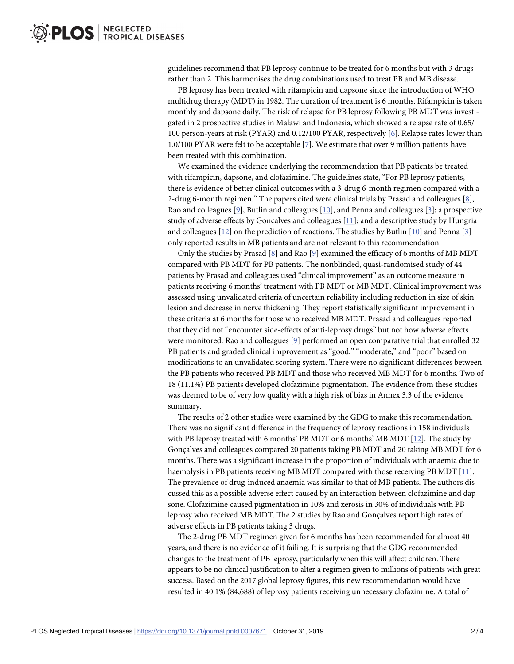<span id="page-1-0"></span>guidelines recommend that PB leprosy continue to be treated for 6 months but with 3 drugs rather than 2. This harmonises the drug combinations used to treat PB and MB disease.

PB leprosy has been treated with rifampicin and dapsone since the introduction of WHO multidrug therapy (MDT) in 1982. The duration of treatment is 6 months. Rifampicin is taken monthly and dapsone daily. The risk of relapse for PB leprosy following PB MDT was investigated in 2 prospective studies in Malawi and Indonesia, which showed a relapse rate of 0.65/ 100 person-years at risk (PYAR) and 0.12/100 PYAR, respectively [[6\]](#page-3-0). Relapse rates lower than 1.0/100 PYAR were felt to be acceptable [\[7](#page-3-0)]. We estimate that over 9 million patients have been treated with this combination.

We examined the evidence underlying the recommendation that PB patients be treated with rifampicin, dapsone, and clofazimine. The guidelines state, "For PB leprosy patients, there is evidence of better clinical outcomes with a 3-drug 6-month regimen compared with a 2-drug 6-month regimen." The papers cited were clinical trials by Prasad and colleagues [[8](#page-3-0)], Rao and colleagues [\[9](#page-3-0)], Butlin and colleagues [\[10\]](#page-3-0), and Penna and colleagues [[3\]](#page-3-0); a prospective study of adverse effects by Gonçalves and colleagues  $[11]$ ; and a descriptive study by Hungria and colleagues [[12\]](#page-3-0) on the prediction of reactions. The studies by Butlin [[10\]](#page-3-0) and Penna [[3](#page-3-0)] only reported results in MB patients and are not relevant to this recommendation.

Only the studies by Prasad [\[8\]](#page-3-0) and Rao [[9\]](#page-3-0) examined the efficacy of 6 months of MB MDT compared with PB MDT for PB patients. The nonblinded, quasi-randomised study of 44 patients by Prasad and colleagues used "clinical improvement" as an outcome measure in patients receiving 6 months' treatment with PB MDT or MB MDT. Clinical improvement was assessed using unvalidated criteria of uncertain reliability including reduction in size of skin lesion and decrease in nerve thickening. They report statistically significant improvement in these criteria at 6 months for those who received MB MDT. Prasad and colleagues reported that they did not "encounter side-effects of anti-leprosy drugs" but not how adverse effects were monitored. Rao and colleagues [[9](#page-3-0)] performed an open comparative trial that enrolled 32 PB patients and graded clinical improvement as "good," "moderate," and "poor" based on modifications to an unvalidated scoring system. There were no significant differences between the PB patients who received PB MDT and those who received MB MDT for 6 months. Two of 18 (11.1%) PB patients developed clofazimine pigmentation. The evidence from these studies was deemed to be of very low quality with a high risk of bias in Annex 3.3 of the evidence summary.

The results of 2 other studies were examined by the GDG to make this recommendation. There was no significant difference in the frequency of leprosy reactions in 158 individuals with PB leprosy treated with 6 months' PB MDT or 6 months' MB MDT [\[12\]](#page-3-0). The study by Goncalves and colleagues compared 20 patients taking PB MDT and 20 taking MB MDT for 6 months. There was a significant increase in the proportion of individuals with anaemia due to haemolysis in PB patients receiving MB MDT compared with those receiving PB MDT [\[11\]](#page-3-0). The prevalence of drug-induced anaemia was similar to that of MB patients. The authors discussed this as a possible adverse effect caused by an interaction between clofazimine and dapsone. Clofazimine caused pigmentation in 10% and xerosis in 30% of individuals with PB leprosy who received MB MDT. The 2 studies by Rao and Gonçalves report high rates of adverse effects in PB patients taking 3 drugs.

The 2-drug PB MDT regimen given for 6 months has been recommended for almost 40 years, and there is no evidence of it failing. It is surprising that the GDG recommended changes to the treatment of PB leprosy, particularly when this will affect children. There appears to be no clinical justification to alter a regimen given to millions of patients with great success. Based on the 2017 global leprosy figures, this new recommendation would have resulted in 40.1% (84,688) of leprosy patients receiving unnecessary clofazimine. A total of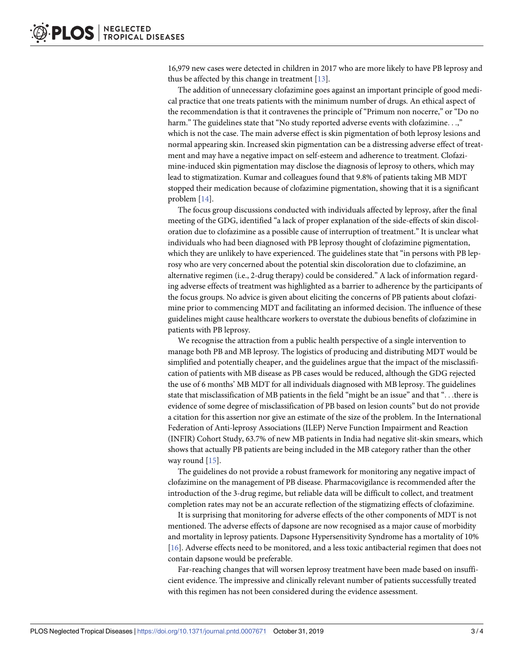<span id="page-2-0"></span>16,979 new cases were detected in children in 2017 who are more likely to have PB leprosy and thus be affected by this change in treatment [\[13\]](#page-3-0).

The addition of unnecessary clofazimine goes against an important principle of good medical practice that one treats patients with the minimum number of drugs. An ethical aspect of the recommendation is that it contravenes the principle of "Primum non nocerre," or "Do no harm." The guidelines state that "No study reported adverse events with clofazimine...," which is not the case. The main adverse effect is skin pigmentation of both leprosy lesions and normal appearing skin. Increased skin pigmentation can be a distressing adverse effect of treatment and may have a negative impact on self-esteem and adherence to treatment. Clofazimine-induced skin pigmentation may disclose the diagnosis of leprosy to others, which may lead to stigmatization. Kumar and colleagues found that 9.8% of patients taking MB MDT stopped their medication because of clofazimine pigmentation, showing that it is a significant problem [[14](#page-3-0)].

The focus group discussions conducted with individuals affected by leprosy, after the final meeting of the GDG, identified "a lack of proper explanation of the side-effects of skin discoloration due to clofazimine as a possible cause of interruption of treatment." It is unclear what individuals who had been diagnosed with PB leprosy thought of clofazimine pigmentation, which they are unlikely to have experienced. The guidelines state that "in persons with PB leprosy who are very concerned about the potential skin discoloration due to clofazimine, an alternative regimen (i.e., 2-drug therapy) could be considered." A lack of information regarding adverse effects of treatment was highlighted as a barrier to adherence by the participants of the focus groups. No advice is given about eliciting the concerns of PB patients about clofazimine prior to commencing MDT and facilitating an informed decision. The influence of these guidelines might cause healthcare workers to overstate the dubious benefits of clofazimine in patients with PB leprosy.

We recognise the attraction from a public health perspective of a single intervention to manage both PB and MB leprosy. The logistics of producing and distributing MDT would be simplified and potentially cheaper, and the guidelines argue that the impact of the misclassification of patients with MB disease as PB cases would be reduced, although the GDG rejected the use of 6 months' MB MDT for all individuals diagnosed with MB leprosy. The guidelines state that misclassification of MB patients in the field "might be an issue" and that ". . .there is evidence of some degree of misclassification of PB based on lesion counts" but do not provide a citation for this assertion nor give an estimate of the size of the problem. In the International Federation of Anti-leprosy Associations (ILEP) Nerve Function Impairment and Reaction (INFIR) Cohort Study, 63.7% of new MB patients in India had negative slit-skin smears, which shows that actually PB patients are being included in the MB category rather than the other way round [\[15\]](#page-3-0).

The guidelines do not provide a robust framework for monitoring any negative impact of clofazimine on the management of PB disease. Pharmacovigilance is recommended after the introduction of the 3-drug regime, but reliable data will be difficult to collect, and treatment completion rates may not be an accurate reflection of the stigmatizing effects of clofazimine.

It is surprising that monitoring for adverse effects of the other components of MDT is not mentioned. The adverse effects of dapsone are now recognised as a major cause of morbidity and mortality in leprosy patients. Dapsone Hypersensitivity Syndrome has a mortality of 10% [\[16\]](#page-3-0). Adverse effects need to be monitored, and a less toxic antibacterial regimen that does not contain dapsone would be preferable.

Far-reaching changes that will worsen leprosy treatment have been made based on insufficient evidence. The impressive and clinically relevant number of patients successfully treated with this regimen has not been considered during the evidence assessment.